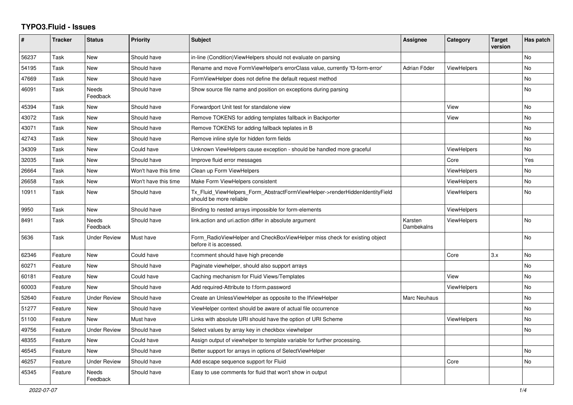## **TYPO3.Fluid - Issues**

| #     | <b>Tracker</b> | <b>Status</b>       | <b>Priority</b>      | <b>Subject</b>                                                                                         | Assignee              | Category           | <b>Target</b><br>version | Has patch |
|-------|----------------|---------------------|----------------------|--------------------------------------------------------------------------------------------------------|-----------------------|--------------------|--------------------------|-----------|
| 56237 | Task           | New                 | Should have          | in-line (Condition) ViewHelpers should not evaluate on parsing                                         |                       |                    |                          | <b>No</b> |
| 54195 | Task           | New                 | Should have          | Rename and move FormViewHelper's errorClass value, currently 'f3-form-error'                           | Adrian Föder          | <b>ViewHelpers</b> |                          | No        |
| 47669 | Task           | New                 | Should have          | FormViewHelper does not define the default request method                                              |                       |                    |                          | No        |
| 46091 | Task           | Needs<br>Feedback   | Should have          | Show source file name and position on exceptions during parsing                                        |                       |                    |                          | No        |
| 45394 | Task           | New                 | Should have          | Forwardport Unit test for standalone view                                                              |                       | View               |                          | No        |
| 43072 | Task           | New                 | Should have          | Remove TOKENS for adding templates fallback in Backporter                                              |                       | View               |                          | <b>No</b> |
| 43071 | Task           | New                 | Should have          | Remove TOKENS for adding fallback teplates in B                                                        |                       |                    |                          | <b>No</b> |
| 42743 | Task           | New                 | Should have          | Remove inline style for hidden form fields                                                             |                       |                    |                          | No.       |
| 34309 | Task           | New                 | Could have           | Unknown ViewHelpers cause exception - should be handled more graceful                                  |                       | ViewHelpers        |                          | No        |
| 32035 | Task           | New                 | Should have          | Improve fluid error messages                                                                           |                       | Core               |                          | Yes       |
| 26664 | Task           | New                 | Won't have this time | Clean up Form ViewHelpers                                                                              |                       | <b>ViewHelpers</b> |                          | <b>No</b> |
| 26658 | Task           | <b>New</b>          | Won't have this time | Make Form ViewHelpers consistent                                                                       |                       | <b>ViewHelpers</b> |                          | No        |
| 10911 | Task           | New                 | Should have          | Tx_Fluid_ViewHelpers_Form_AbstractFormViewHelper->renderHiddenIdentityField<br>should be more reliable |                       | ViewHelpers        |                          | No        |
| 9950  | Task           | New                 | Should have          | Binding to nested arrays impossible for form-elements                                                  |                       | ViewHelpers        |                          |           |
| 8491  | Task           | Needs<br>Feedback   | Should have          | link.action and uri.action differ in absolute argument                                                 | Karsten<br>Dambekalns | <b>ViewHelpers</b> |                          | <b>No</b> |
| 5636  | Task           | Under Review        | Must have            | Form_RadioViewHelper and CheckBoxViewHelper miss check for existing object<br>before it is accessed.   |                       |                    |                          | No        |
| 62346 | Feature        | New                 | Could have           | f:comment should have high precende                                                                    |                       | Core               | 3.x                      | <b>No</b> |
| 60271 | Feature        | New                 | Should have          | Paginate viewhelper, should also support arrays                                                        |                       |                    |                          | <b>No</b> |
| 60181 | Feature        | <b>New</b>          | Could have           | Caching mechanism for Fluid Views/Templates                                                            |                       | View               |                          | <b>No</b> |
| 60003 | Feature        | New                 | Should have          | Add required-Attribute to f:form.password                                                              |                       | ViewHelpers        |                          | No        |
| 52640 | Feature        | <b>Under Review</b> | Should have          | Create an UnlessViewHelper as opposite to the IfViewHelper                                             | Marc Neuhaus          |                    |                          | No        |
| 51277 | Feature        | New                 | Should have          | ViewHelper context should be aware of actual file occurrence                                           |                       |                    |                          | <b>No</b> |
| 51100 | Feature        | <b>New</b>          | Must have            | Links with absolute URI should have the option of URI Scheme                                           |                       | <b>ViewHelpers</b> |                          | No        |
| 49756 | Feature        | Under Review        | Should have          | Select values by array key in checkbox viewhelper                                                      |                       |                    |                          | No        |
| 48355 | Feature        | New                 | Could have           | Assign output of viewhelper to template variable for further processing.                               |                       |                    |                          |           |
| 46545 | Feature        | New                 | Should have          | Better support for arrays in options of SelectViewHelper                                               |                       |                    |                          | No        |
| 46257 | Feature        | <b>Under Review</b> | Should have          | Add escape sequence support for Fluid                                                                  |                       | Core               |                          | <b>No</b> |
| 45345 | Feature        | Needs<br>Feedback   | Should have          | Easy to use comments for fluid that won't show in output                                               |                       |                    |                          |           |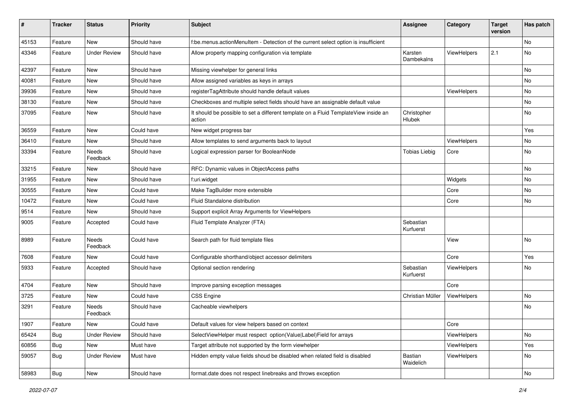| #     | <b>Tracker</b> | <b>Status</b>       | <b>Priority</b> | Subject                                                                                       | Assignee               | Category    | <b>Target</b><br>version | Has patch |
|-------|----------------|---------------------|-----------------|-----------------------------------------------------------------------------------------------|------------------------|-------------|--------------------------|-----------|
| 45153 | Feature        | New                 | Should have     | f:be.menus.actionMenuItem - Detection of the current select option is insufficient            |                        |             |                          | No        |
| 43346 | Feature        | <b>Under Review</b> | Should have     | Allow property mapping configuration via template                                             | Karsten<br>Dambekalns  | ViewHelpers | 2.1                      | No        |
| 42397 | Feature        | New                 | Should have     | Missing viewhelper for general links                                                          |                        |             |                          | <b>No</b> |
| 40081 | Feature        | New                 | Should have     | Allow assigned variables as keys in arrays                                                    |                        |             |                          | No        |
| 39936 | Feature        | New                 | Should have     | registerTagAttribute should handle default values                                             |                        | ViewHelpers |                          | No        |
| 38130 | Feature        | New                 | Should have     | Checkboxes and multiple select fields should have an assignable default value                 |                        |             |                          | No        |
| 37095 | Feature        | New                 | Should have     | It should be possible to set a different template on a Fluid TemplateView inside an<br>action | Christopher<br>Hlubek  |             |                          | No        |
| 36559 | Feature        | New                 | Could have      | New widget progress bar                                                                       |                        |             |                          | Yes       |
| 36410 | Feature        | New                 | Should have     | Allow templates to send arguments back to layout                                              |                        | ViewHelpers |                          | No        |
| 33394 | Feature        | Needs<br>Feedback   | Should have     | Logical expression parser for BooleanNode                                                     | <b>Tobias Liebig</b>   | Core        |                          | No        |
| 33215 | Feature        | New                 | Should have     | RFC: Dynamic values in ObjectAccess paths                                                     |                        |             |                          | No        |
| 31955 | Feature        | New                 | Should have     | f:uri.widget                                                                                  |                        | Widgets     |                          | No        |
| 30555 | Feature        | New                 | Could have      | Make TagBuilder more extensible                                                               |                        | Core        |                          | No        |
| 10472 | Feature        | New                 | Could have      | Fluid Standalone distribution                                                                 |                        | Core        |                          | No        |
| 9514  | Feature        | New                 | Should have     | Support explicit Array Arguments for ViewHelpers                                              |                        |             |                          |           |
| 9005  | Feature        | Accepted            | Could have      | Fluid Template Analyzer (FTA)                                                                 | Sebastian<br>Kurfuerst |             |                          |           |
| 8989  | Feature        | Needs<br>Feedback   | Could have      | Search path for fluid template files                                                          |                        | View        |                          | No        |
| 7608  | Feature        | New                 | Could have      | Configurable shorthand/object accessor delimiters                                             |                        | Core        |                          | Yes       |
| 5933  | Feature        | Accepted            | Should have     | Optional section rendering                                                                    | Sebastian<br>Kurfuerst | ViewHelpers |                          | No        |
| 4704  | Feature        | New                 | Should have     | Improve parsing exception messages                                                            |                        | Core        |                          |           |
| 3725  | Feature        | New                 | Could have      | <b>CSS Engine</b>                                                                             | Christian Müller       | ViewHelpers |                          | No        |
| 3291  | Feature        | Needs<br>Feedback   | Should have     | Cacheable viewhelpers                                                                         |                        |             |                          | No        |
| 1907  | Feature        | New                 | Could have      | Default values for view helpers based on context                                              |                        | Core        |                          |           |
| 65424 | <b>Bug</b>     | Under Review        | Should have     | SelectViewHelper must respect option(Value Label)Field for arrays                             |                        | ViewHelpers |                          | No        |
| 60856 | Bug            | New                 | Must have       | Target attribute not supported by the form viewhelper                                         |                        | ViewHelpers |                          | Yes       |
| 59057 | Bug            | <b>Under Review</b> | Must have       | Hidden empty value fields shoud be disabled when related field is disabled                    | Bastian<br>Waidelich   | ViewHelpers |                          | No        |
| 58983 | <b>Bug</b>     | New                 | Should have     | format.date does not respect linebreaks and throws exception                                  |                        |             |                          | No        |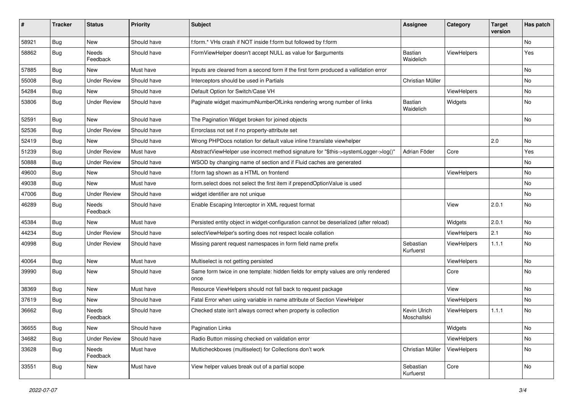| ∦     | <b>Tracker</b> | <b>Status</b>            | Priority    | Subject                                                                                   | <b>Assignee</b>             | Category           | <b>Target</b><br>version | Has patch |
|-------|----------------|--------------------------|-------------|-------------------------------------------------------------------------------------------|-----------------------------|--------------------|--------------------------|-----------|
| 58921 | Bug            | New                      | Should have | f:form.* VHs crash if NOT inside f:form but followed by f:form                            |                             |                    |                          | <b>No</b> |
| 58862 | Bug            | <b>Needs</b><br>Feedback | Should have | FormViewHelper doesn't accept NULL as value for \$arguments                               | Bastian<br>Waidelich        | <b>ViewHelpers</b> |                          | Yes       |
| 57885 | Bug            | <b>New</b>               | Must have   | Inputs are cleared from a second form if the first form produced a vallidation error      |                             |                    |                          | <b>No</b> |
| 55008 | Bug            | <b>Under Review</b>      | Should have | Interceptors should be used in Partials                                                   | Christian Müller            |                    |                          | No        |
| 54284 | Bug            | New                      | Should have | Default Option for Switch/Case VH                                                         |                             | ViewHelpers        |                          | No        |
| 53806 | Bug            | <b>Under Review</b>      | Should have | Paginate widget maximumNumberOfLinks rendering wrong number of links                      | Bastian<br>Waidelich        | Widgets            |                          | No        |
| 52591 | Bug            | <b>New</b>               | Should have | The Pagination Widget broken for joined objects                                           |                             |                    |                          | No        |
| 52536 | Bug            | <b>Under Review</b>      | Should have | Errorclass not set if no property-attribute set                                           |                             |                    |                          |           |
| 52419 | Bug            | New                      | Should have | Wrong PHPDocs notation for default value inline f:translate viewhelper                    |                             |                    | 2.0                      | No        |
| 51239 | Bug            | <b>Under Review</b>      | Must have   | AbstractViewHelper use incorrect method signature for "\$this->systemLogger->log()"       | Adrian Föder                | Core               |                          | Yes       |
| 50888 | Bug            | <b>Under Review</b>      | Should have | WSOD by changing name of section and if Fluid caches are generated                        |                             |                    |                          | No        |
| 49600 | Bug            | <b>New</b>               | Should have | f:form tag shown as a HTML on frontend                                                    |                             | ViewHelpers        |                          | <b>No</b> |
| 49038 | Bug            | New                      | Must have   | form select does not select the first item if prependOptionValue is used                  |                             |                    |                          | No        |
| 47006 | Bug            | <b>Under Review</b>      | Should have | widget identifier are not unique                                                          |                             |                    |                          | No        |
| 46289 | Bug            | <b>Needs</b><br>Feedback | Should have | Enable Escaping Interceptor in XML request format                                         |                             | View               | 2.0.1                    | <b>No</b> |
| 45384 | Bug            | New                      | Must have   | Persisted entity object in widget-configuration cannot be deserialized (after reload)     |                             | Widgets            | 2.0.1                    | <b>No</b> |
| 44234 | Bug            | <b>Under Review</b>      | Should have | selectViewHelper's sorting does not respect locale collation                              |                             | ViewHelpers        | 2.1                      | No        |
| 40998 | Bug            | <b>Under Review</b>      | Should have | Missing parent request namespaces in form field name prefix                               | Sebastian<br>Kurfuerst      | ViewHelpers        | 1.1.1                    | No        |
| 40064 | Bug            | New                      | Must have   | Multiselect is not getting persisted                                                      |                             | ViewHelpers        |                          | No        |
| 39990 | Bug            | New                      | Should have | Same form twice in one template: hidden fields for empty values are only rendered<br>once |                             | Core               |                          | No        |
| 38369 | Bug            | <b>New</b>               | Must have   | Resource ViewHelpers should not fall back to request package                              |                             | View               |                          | No        |
| 37619 | Bug            | New                      | Should have | Fatal Error when using variable in name attribute of Section ViewHelper                   |                             | ViewHelpers        |                          | No        |
| 36662 | <b>Bug</b>     | Needs<br>Feedback        | Should have | Checked state isn't always correct when property is collection                            | Kevin Ulrich<br>Moschallski | ViewHelpers        | 1.1.1                    | <b>No</b> |
| 36655 | <b>Bug</b>     | New                      | Should have | <b>Pagination Links</b>                                                                   |                             | Widgets            |                          | No        |
| 34682 | <b>Bug</b>     | <b>Under Review</b>      | Should have | Radio Button missing checked on validation error                                          |                             | ViewHelpers        |                          | No        |
| 33628 | <b>Bug</b>     | Needs<br>Feedback        | Must have   | Multicheckboxes (multiselect) for Collections don't work                                  | Christian Müller            | ViewHelpers        |                          | No        |
| 33551 | <b>Bug</b>     | New                      | Must have   | View helper values break out of a partial scope                                           | Sebastian<br>Kurfuerst      | Core               |                          | No        |